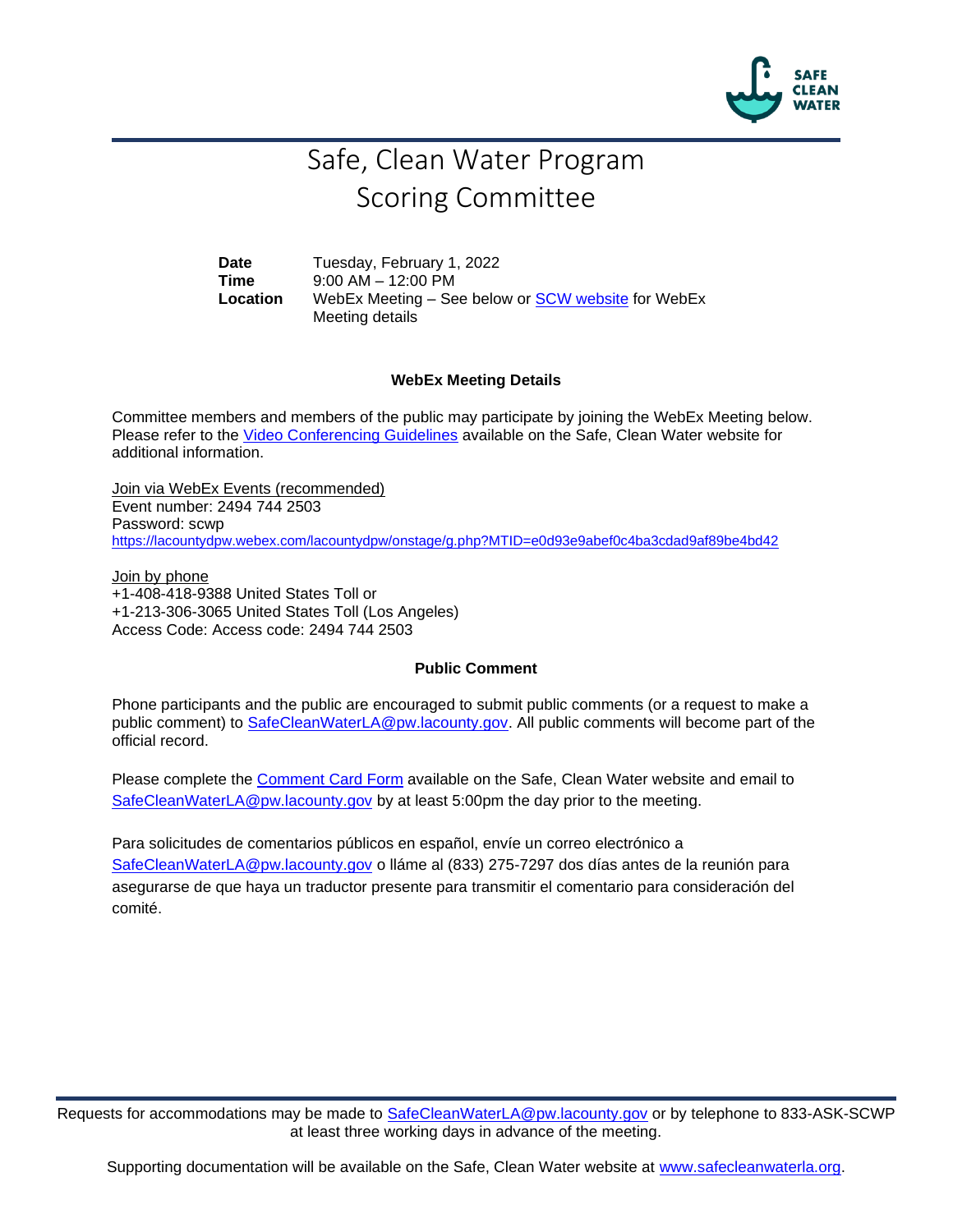

# Safe, Clean Water Program Scoring Committee

**Date** Tuesday, February 1, 2022 **Time** 9:00 AM – 12:00 PM **Location** WebEx Meeting – See below or [SCW website](https://safecleanwaterla.org/scoring-committee/) for WebEx Meeting details

### **WebEx Meeting Details**

Committee members and members of the public may participate by joining the WebEx Meeting below. Please refer to the [Video Conferencing Guidelines](https://safecleanwaterla.org/video-conference-guidelines/) available on the Safe, Clean Water website for additional information.

Join via WebEx Events (recommended) Event number: 2494 744 2503 Password: scwp <https://lacountydpw.webex.com/lacountydpw/onstage/g.php?MTID=e0d93e9abef0c4ba3cdad9af89be4bd42>

Join by phone +1-408-418-9388 United States Toll or +1-213-306-3065 United States Toll (Los Angeles) Access Code: Access code: 2494 744 2503

### **Public Comment**

Phone participants and the public are encouraged to submit public comments (or a request to make a public comment) to [SafeCleanWaterLA@pw.lacounty.gov.](mailto:SafeCleanWaterLA@pw.lacounty.gov) All public comments will become part of the official record.

Please complete the Comment [Card Form](https://safecleanwaterla.org/wp-content/uploads/2020/04/Comment-Card-Form.pdf) available on the Safe, Clean Water website and email to [SafeCleanWaterLA@pw.lacounty.gov](mailto:SafeCleanWaterLA@pw.lacounty.govb) by at least 5:00pm the day prior to the meeting.

Para solicitudes de comentarios públicos en español, envíe un correo electrónico a [SafeCleanWaterLA@pw.lacounty.gov](mailto:SafeCleanWaterLA@pw.lacounty.gov) o lláme al (833) 275-7297 dos días antes de la reunión para asegurarse de que haya un traductor presente para transmitir el comentario para consideración del comité.

Requests for accommodations may be made to [SafeCleanWaterLA@pw.lacounty.gov](mailto:SafeCleanWaterLA@pw.lacounty.gov) or by telephone to 833-ASK-SCWP at least three working days in advance of the meeting.

Supporting documentation will be available on the Safe, Clean Water website at [www.safecleanwaterla.org.](http://www.safecleanwaterla.org/)